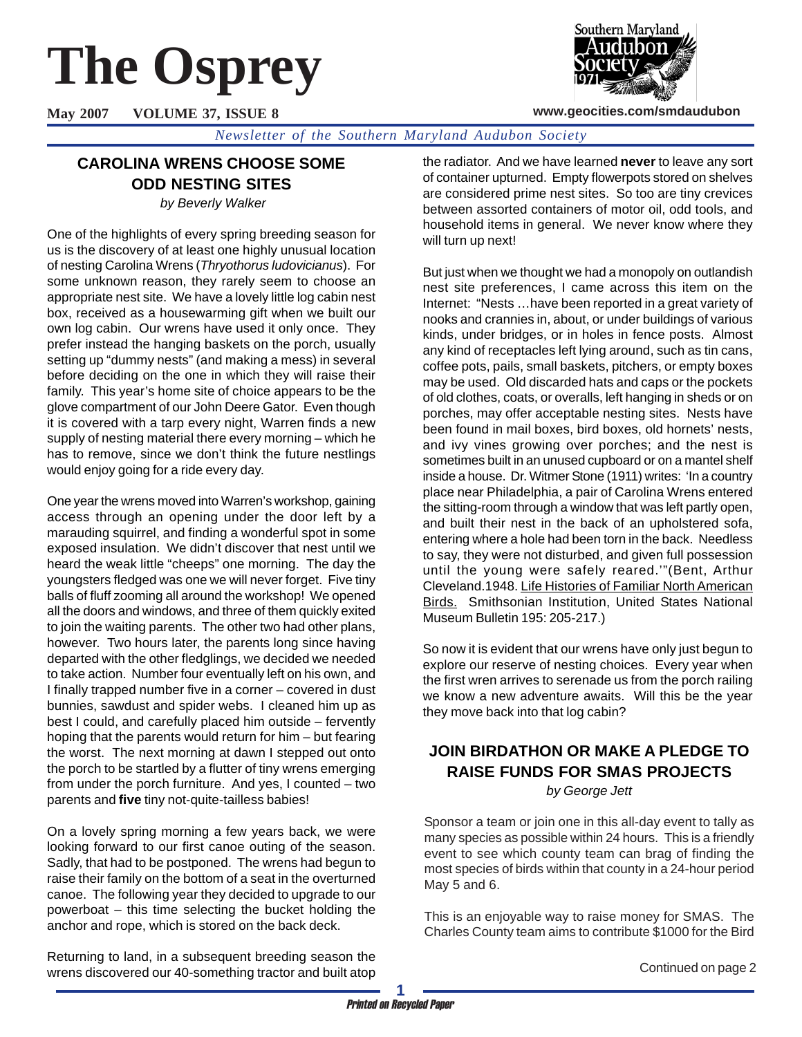# **The Osprey**

**May 2007 VOLUME 37, ISSUE 8**

Southern Maryland

**www.geocities.com/smdaudubon**

*Newsletter of the Southern Maryland Audubon Society*

# **CAROLINA WRENS CHOOSE SOME ODD NESTING SITES**

 *by Beverly Walker*

One of the highlights of every spring breeding season for us is the discovery of at least one highly unusual location of nesting Carolina Wrens (*Thryothorus ludovicianus*). For some unknown reason, they rarely seem to choose an appropriate nest site. We have a lovely little log cabin nest box, received as a housewarming gift when we built our own log cabin. Our wrens have used it only once. They prefer instead the hanging baskets on the porch, usually setting up "dummy nests" (and making a mess) in several before deciding on the one in which they will raise their family. This year's home site of choice appears to be the glove compartment of our John Deere Gator. Even though it is covered with a tarp every night, Warren finds a new supply of nesting material there every morning – which he has to remove, since we don't think the future nestlings would enjoy going for a ride every day.

One year the wrens moved into Warren's workshop, gaining access through an opening under the door left by a marauding squirrel, and finding a wonderful spot in some exposed insulation. We didn't discover that nest until we heard the weak little "cheeps" one morning. The day the youngsters fledged was one we will never forget. Five tiny balls of fluff zooming all around the workshop! We opened all the doors and windows, and three of them quickly exited to join the waiting parents. The other two had other plans, however. Two hours later, the parents long since having departed with the other fledglings, we decided we needed to take action. Number four eventually left on his own, and I finally trapped number five in a corner – covered in dust bunnies, sawdust and spider webs. I cleaned him up as best I could, and carefully placed him outside – fervently hoping that the parents would return for him – but fearing the worst. The next morning at dawn I stepped out onto the porch to be startled by a flutter of tiny wrens emerging from under the porch furniture. And yes, I counted – two parents and **five** tiny not-quite-tailless babies!

On a lovely spring morning a few years back, we were looking forward to our first canoe outing of the season. Sadly, that had to be postponed. The wrens had begun to raise their family on the bottom of a seat in the overturned canoe. The following year they decided to upgrade to our powerboat – this time selecting the bucket holding the anchor and rope, which is stored on the back deck.

Returning to land, in a subsequent breeding season the wrens discovered our 40-something tractor and built atop the radiator. And we have learned **never** to leave any sort of container upturned. Empty flowerpots stored on shelves are considered prime nest sites. So too are tiny crevices between assorted containers of motor oil, odd tools, and household items in general. We never know where they will turn up next!

But just when we thought we had a monopoly on outlandish nest site preferences, I came across this item on the Internet: "Nests …have been reported in a great variety of nooks and crannies in, about, or under buildings of various kinds, under bridges, or in holes in fence posts. Almost any kind of receptacles left lying around, such as tin cans, coffee pots, pails, small baskets, pitchers, or empty boxes may be used. Old discarded hats and caps or the pockets of old clothes, coats, or overalls, left hanging in sheds or on porches, may offer acceptable nesting sites. Nests have been found in mail boxes, bird boxes, old hornets' nests, and ivy vines growing over porches; and the nest is sometimes built in an unused cupboard or on a mantel shelf inside a house. Dr. Witmer Stone (1911) writes: 'In a country place near Philadelphia, a pair of Carolina Wrens entered the sitting-room through a window that was left partly open, and built their nest in the back of an upholstered sofa, entering where a hole had been torn in the back. Needless to say, they were not disturbed, and given full possession until the young were safely reared.'"(Bent, Arthur Cleveland.1948. Life Histories of Familiar North American **Birds.** Smithsonian Institution, United States National Museum Bulletin 195: 205-217.)

So now it is evident that our wrens have only just begun to explore our reserve of nesting choices. Every year when the first wren arrives to serenade us from the porch railing we know a new adventure awaits. Will this be the year they move back into that log cabin?

## **JOIN BIRDATHON OR MAKE A PLEDGE TO RAISE FUNDS FOR SMAS PROJECTS** *by George Jett*

Sponsor a team or join one in this all-day event to tally as many species as possible within 24 hours. This is a friendly event to see which county team can brag of finding the most species of birds within that county in a 24-hour period May 5 and 6.

This is an enjoyable way to raise money for SMAS. The Charles County team aims to contribute \$1000 for the Bird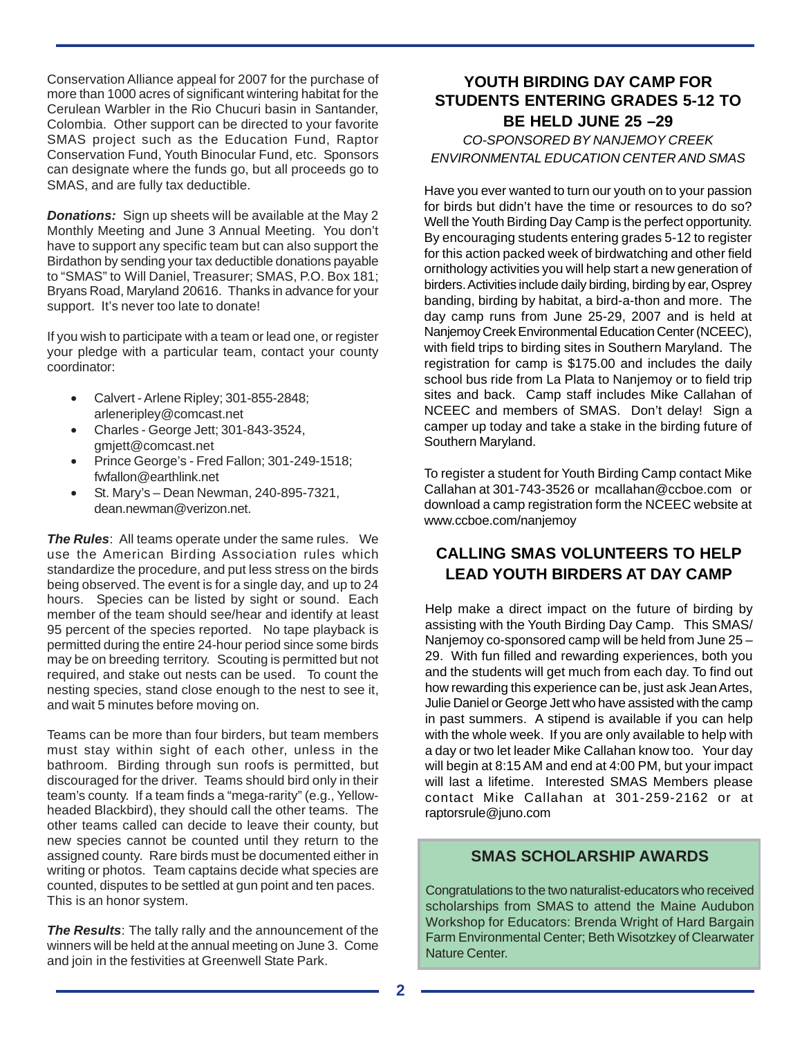Conservation Alliance appeal for 2007 for the purchase of more than 1000 acres of significant wintering habitat for the Cerulean Warbler in the Rio Chucuri basin in Santander, Colombia. Other support can be directed to your favorite SMAS project such as the Education Fund, Raptor Conservation Fund, Youth Binocular Fund, etc. Sponsors can designate where the funds go, but all proceeds go to SMAS, and are fully tax deductible.

*Donations:* Sign up sheets will be available at the May 2 Monthly Meeting and June 3 Annual Meeting. You don't have to support any specific team but can also support the Birdathon by sending your tax deductible donations payable to "SMAS" to Will Daniel, Treasurer; SMAS, P.O. Box 181; Bryans Road, Maryland 20616. Thanks in advance for your support. It's never too late to donate!

If you wish to participate with a team or lead one, or register your pledge with a particular team, contact your county coordinator:

- Calvert Arlene Ripley; 301-855-2848; arleneripley@comcast.net
- Charles George Jett; 301-843-3524, gmjett@comcast.net
- Prince George's Fred Fallon; 301-249-1518; fwfallon@earthlink.net
- St. Mary's Dean Newman, 240-895-7321, dean.newman@verizon.net.

*The Rules*: All teams operate under the same rules. We use the American Birding Association rules which standardize the procedure, and put less stress on the birds being observed. The event is for a single day, and up to 24 hours. Species can be listed by sight or sound. Each member of the team should see/hear and identify at least 95 percent of the species reported. No tape playback is permitted during the entire 24-hour period since some birds may be on breeding territory. Scouting is permitted but not required, and stake out nests can be used. To count the nesting species, stand close enough to the nest to see it, and wait 5 minutes before moving on.

Teams can be more than four birders, but team members must stay within sight of each other, unless in the bathroom. Birding through sun roofs is permitted, but discouraged for the driver. Teams should bird only in their team's county. If a team finds a "mega-rarity" (e.g., Yellowheaded Blackbird), they should call the other teams. The other teams called can decide to leave their county, but new species cannot be counted until they return to the assigned county. Rare birds must be documented either in writing or photos. Team captains decide what species are counted, disputes to be settled at gun point and ten paces. This is an honor system.

*The Results*: The tally rally and the announcement of the winners will be held at the annual meeting on June 3. Come and join in the festivities at Greenwell State Park.

# **YOUTH BIRDING DAY CAMP FOR STUDENTS ENTERING GRADES 5-12 TO BE HELD JUNE 25 –29**

## *CO-SPONSORED BY NANJEMOY CREEK ENVIRONMENTAL EDUCATION CENTER AND SMAS*

Have you ever wanted to turn our youth on to your passion for birds but didn't have the time or resources to do so? Well the Youth Birding Day Camp is the perfect opportunity. By encouraging students entering grades 5-12 to register for this action packed week of birdwatching and other field ornithology activities you will help start a new generation of birders. Activities include daily birding, birding by ear, Osprey banding, birding by habitat, a bird-a-thon and more. The day camp runs from June 25-29, 2007 and is held at Nanjemoy Creek Environmental Education Center (NCEEC), with field trips to birding sites in Southern Maryland. The registration for camp is \$175.00 and includes the daily school bus ride from La Plata to Nanjemoy or to field trip sites and back. Camp staff includes Mike Callahan of NCEEC and members of SMAS. Don't delay! Sign a camper up today and take a stake in the birding future of Southern Maryland.

To register a student for Youth Birding Camp contact Mike Callahan at 301-743-3526 or mcallahan@ccboe.com or download a camp registration form the NCEEC website at www.ccboe.com/nanjemoy

# **CALLING SMAS VOLUNTEERS TO HELP LEAD YOUTH BIRDERS AT DAY CAMP**

Help make a direct impact on the future of birding by assisting with the Youth Birding Day Camp. This SMAS/ Nanjemoy co-sponsored camp will be held from June 25 – 29. With fun filled and rewarding experiences, both you and the students will get much from each day. To find out how rewarding this experience can be, just ask Jean Artes, Julie Daniel or George Jett who have assisted with the camp in past summers. A stipend is available if you can help with the whole week. If you are only available to help with a day or two let leader Mike Callahan know too. Your day will begin at 8:15 AM and end at 4:00 PM, but your impact will last a lifetime. Interested SMAS Members please contact Mike Callahan at 301-259-2162 or at raptorsrule@juno.com

## **SMAS SCHOLARSHIP AWARDS**

Congratulations to the two naturalist-educators who received scholarships from SMAS to attend the Maine Audubon Workshop for Educators: Brenda Wright of Hard Bargain Farm Environmental Center; Beth Wisotzkey of Clearwater Nature Center.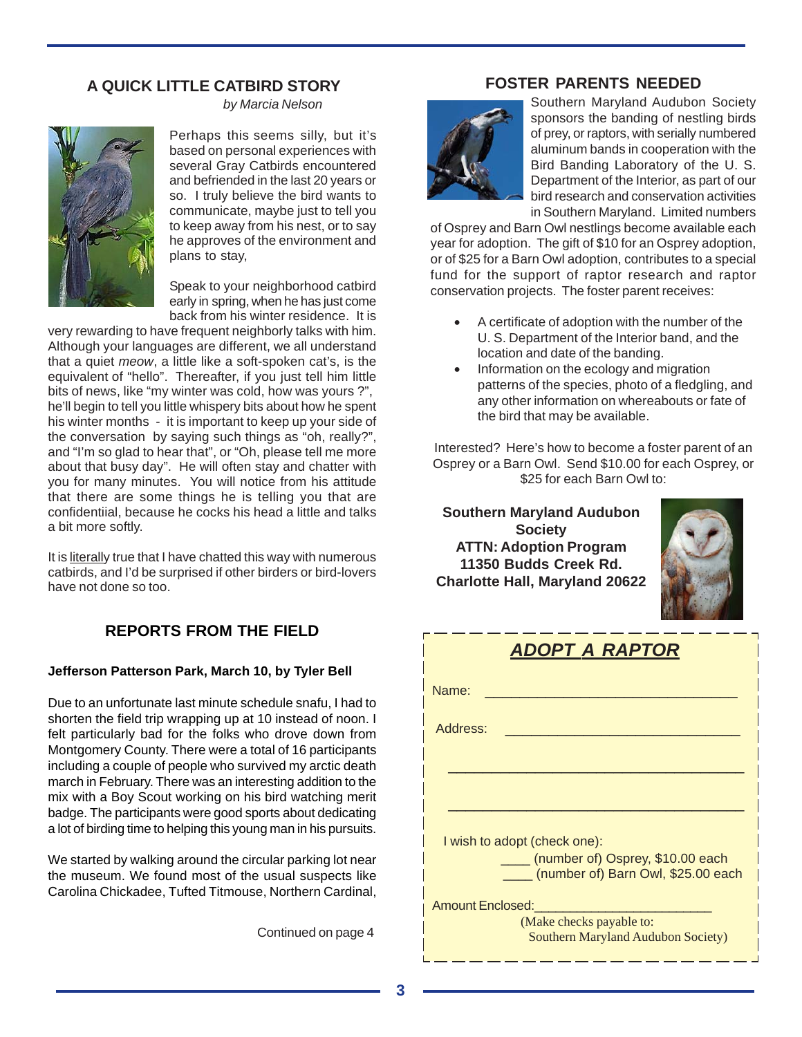# **A QUICK LITTLE CATBIRD STORY**



*by Marcia Nelson*

Perhaps this seems silly, but it's based on personal experiences with several Gray Catbirds encountered and befriended in the last 20 years or so. I truly believe the bird wants to communicate, maybe just to tell you to keep away from his nest, or to say he approves of the environment and plans to stay,

Speak to your neighborhood catbird early in spring, when he has just come back from his winter residence. It is

very rewarding to have frequent neighborly talks with him. Although your languages are different, we all understand that a quiet *meow*, a little like a soft-spoken cat's, is the equivalent of "hello". Thereafter, if you just tell him little bits of news, like "my winter was cold, how was yours ?", he'll begin to tell you little whispery bits about how he spent his winter months - it is important to keep up your side of the conversation by saying such things as "oh, really?", and "I'm so glad to hear that", or "Oh, please tell me more about that busy day". He will often stay and chatter with you for many minutes. You will notice from his attitude that there are some things he is telling you that are confidentiial, because he cocks his head a little and talks a bit more softly.

It is literally true that I have chatted this way with numerous catbirds, and I'd be surprised if other birders or bird-lovers have not done so too.

# **REPORTS FROM THE FIELD**

#### **Jefferson Patterson Park, March 10, by Tyler Bell**

Due to an unfortunate last minute schedule snafu, I had to shorten the field trip wrapping up at 10 instead of noon. I felt particularly bad for the folks who drove down from Montgomery County. There were a total of 16 participants including a couple of people who survived my arctic death march in February. There was an interesting addition to the mix with a Boy Scout working on his bird watching merit badge. The participants were good sports about dedicating a lot of birding time to helping this young man in his pursuits.

We started by walking around the circular parking lot near the museum. We found most of the usual suspects like Carolina Chickadee, Tufted Titmouse, Northern Cardinal,

Continued on page 4

## **FOSTER PARENTS NEEDED**



Southern Maryland Audubon Society sponsors the banding of nestling birds of prey, or raptors, with serially numbered aluminum bands in cooperation with the Bird Banding Laboratory of the U. S. Department of the Interior, as part of our bird research and conservation activities in Southern Maryland. Limited numbers

of Osprey and Barn Owl nestlings become available each year for adoption. The gift of \$10 for an Osprey adoption, or of \$25 for a Barn Owl adoption, contributes to a special fund for the support of raptor research and raptor conservation projects. The foster parent receives:

- A certificate of adoption with the number of the U. S. Department of the Interior band, and the location and date of the banding.
- Information on the ecology and migration patterns of the species, photo of a fledgling, and any other information on whereabouts or fate of the bird that may be available.

Interested? Here's how to become a foster parent of an Osprey or a Barn Owl. Send \$10.00 for each Osprey, or \$25 for each Barn Owl to:

**Southern Maryland Audubon Society ATTN: Adoption Program 11350 Budds Creek Rd. Charlotte Hall, Maryland 20622**



| <b>ADOPT A RAPTOR</b>                                                       |  |  |  |
|-----------------------------------------------------------------------------|--|--|--|
| Name:                                                                       |  |  |  |
| Address:                                                                    |  |  |  |
|                                                                             |  |  |  |
|                                                                             |  |  |  |
| I wish to adopt (check one):                                                |  |  |  |
| ____ (number of) Osprey, \$10.00 each<br>(number of) Barn Owl, \$25.00 each |  |  |  |
| Amount Enclosed:                                                            |  |  |  |
| (Make checks payable to:<br><b>Southern Maryland Audubon Society)</b>       |  |  |  |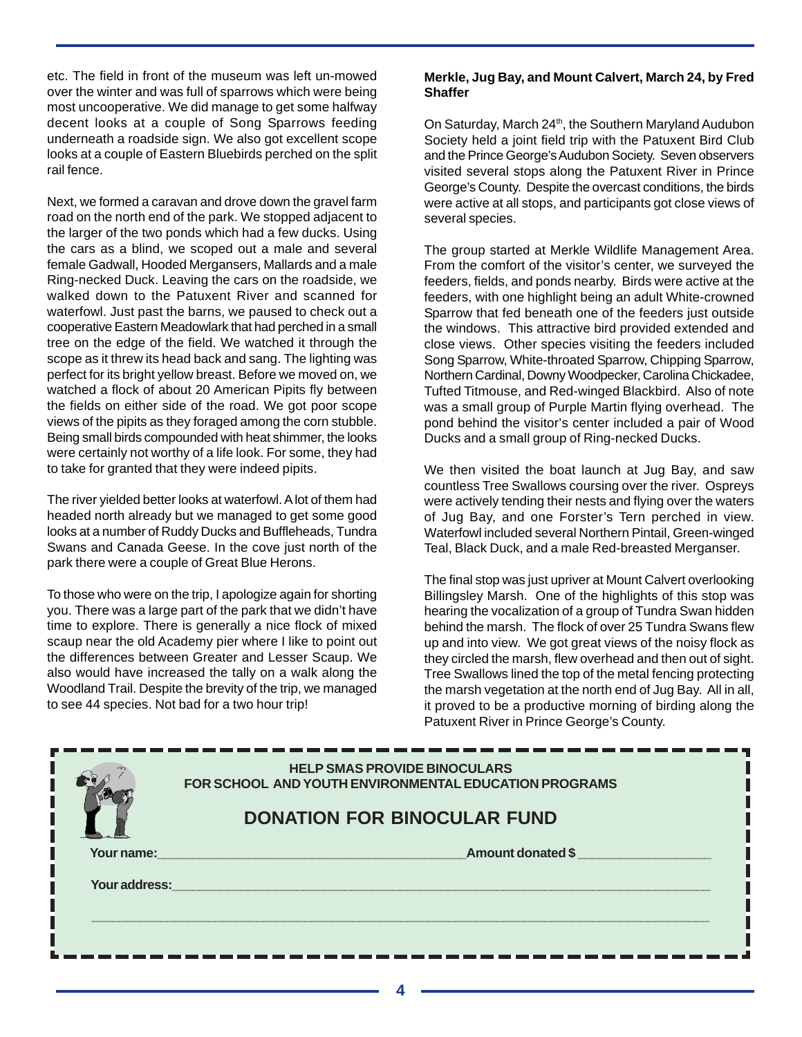etc. The field in front of the museum was left un-mowed over the winter and was full of sparrows which were being most uncooperative. We did manage to get some halfway decent looks at a couple of Song Sparrows feeding underneath a roadside sign. We also got excellent scope looks at a couple of Eastern Bluebirds perched on the split rail fence.

Next, we formed a caravan and drove down the gravel farm road on the north end of the park. We stopped adjacent to the larger of the two ponds which had a few ducks. Using the cars as a blind, we scoped out a male and several female Gadwall, Hooded Mergansers, Mallards and a male Ring-necked Duck. Leaving the cars on the roadside, we walked down to the Patuxent River and scanned for waterfowl. Just past the barns, we paused to check out a cooperative Eastern Meadowlark that had perched in a small tree on the edge of the field. We watched it through the scope as it threw its head back and sang. The lighting was perfect for its bright yellow breast. Before we moved on, we watched a flock of about 20 American Pipits fly between the fields on either side of the road. We got poor scope views of the pipits as they foraged among the corn stubble. Being small birds compounded with heat shimmer, the looks were certainly not worthy of a life look. For some, they had to take for granted that they were indeed pipits.

The river yielded better looks at waterfowl. A lot of them had headed north already but we managed to get some good looks at a number of Ruddy Ducks and Buffleheads, Tundra Swans and Canada Geese. In the cove just north of the park there were a couple of Great Blue Herons.

To those who were on the trip, I apologize again for shorting you. There was a large part of the park that we didn't have time to explore. There is generally a nice flock of mixed scaup near the old Academy pier where I like to point out the differences between Greater and Lesser Scaup. We also would have increased the tally on a walk along the Woodland Trail. Despite the brevity of the trip, we managed to see 44 species. Not bad for a two hour trip!

#### **Merkle, Jug Bay, and Mount Calvert, March 24, by Fred Shaffer**

George's County. Despite the overcast conditions, the birds On Saturday, March 24<sup>th</sup>, the Southern Maryland Audubon Society held a joint field trip with the Patuxent Bird Club and the Prince George's Audubon Society. Seven observers visited several stops along the Patuxent River in Prince were active at all stops, and participants got close views of several species.

The group started at Merkle Wildlife Management Area. From the comfort of the visitor's center, we surveyed the feeders, fields, and ponds nearby. Birds were active at the feeders, with one highlight being an adult White-crowned Sparrow that fed beneath one of the feeders just outside the windows. This attractive bird provided extended and close views. Other species visiting the feeders included Song Sparrow, White-throated Sparrow, Chipping Sparrow, Northern Cardinal, Downy Woodpecker, Carolina Chickadee, Tufted Titmouse, and Red-winged Blackbird. Also of note was a small group of Purple Martin flying overhead. The pond behind the visitor's center included a pair of Wood Ducks and a small group of Ring-necked Ducks.

We then visited the boat launch at Jug Bay, and saw countless Tree Swallows coursing over the river. Ospreys were actively tending their nests and flying over the waters of Jug Bay, and one Forster's Tern perched in view. Waterfowl included several Northern Pintail, Green-winged Teal, Black Duck, and a male Red-breasted Merganser.

The final stop was just upriver at Mount Calvert overlooking Billingsley Marsh. One of the highlights of this stop was hearing the vocalization of a group of Tundra Swan hidden behind the marsh. The flock of over 25 Tundra Swans flew up and into view. We got great views of the noisy flock as they circled the marsh, flew overhead and then out of sight. Tree Swallows lined the top of the metal fencing protecting the marsh vegetation at the north end of Jug Bay. All in all, it proved to be a productive morning of birding along the Patuxent River in Prince George's County.

|               | <b>HELP SMAS PROVIDE BINOCULARS</b><br>FOR SCHOOL AND YOUTH ENVIRONMENTAL EDUCATION PROGRAMS |
|---------------|----------------------------------------------------------------------------------------------|
|               | <b>DONATION FOR BINOCULAR FUND</b>                                                           |
| Your name:    | Amount donated \$                                                                            |
| Your address: |                                                                                              |
|               |                                                                                              |
|               |                                                                                              |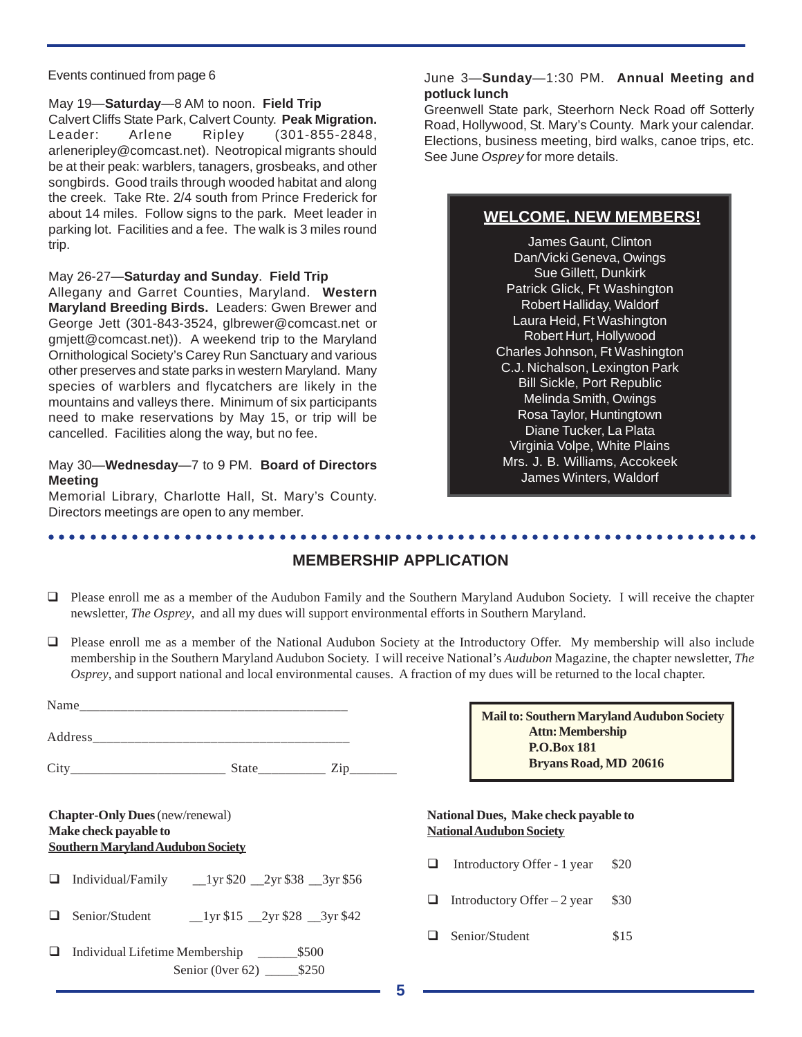#### Events continued from page 6

May 19—**Saturday**—8 AM to noon. **Field Trip** Calvert Cliffs State Park, Calvert County. **Peak Migration.** Leader: Arlene Ripley (301-855-2848, arleneripley@comcast.net). Neotropical migrants should be at their peak: warblers, tanagers, grosbeaks, and other songbirds. Good trails through wooded habitat and along the creek. Take Rte. 2/4 south from Prince Frederick for about 14 miles. Follow signs to the park. Meet leader in parking lot. Facilities and a fee. The walk is 3 miles round trip.

#### May 26-27—**Saturday and Sunday**. **Field Trip**

Allegany and Garret Counties, Maryland. **Western Maryland Breeding Birds.** Leaders: Gwen Brewer and George Jett (301-843-3524, glbrewer@comcast.net or gmjett@comcast.net)). A weekend trip to the Maryland Ornithological Society's Carey Run Sanctuary and various other preserves and state parks in western Maryland. Many species of warblers and flycatchers are likely in the mountains and valleys there. Minimum of six participants need to make reservations by May 15, or trip will be cancelled. Facilities along the way, but no fee.

#### May 30—**Wednesday**—7 to 9 PM. **Board of Directors Meeting**

Memorial Library, Charlotte Hall, St. Mary's County. Directors meetings are open to any member.

○○○○○○○○○○○○○○○○○○○○○○○○○○○○○○○○○○○○○○○○○○○○ ○○○○○○○○○○○○○○○○○○○○○○○○

#### June 3—**Sunday**—1:30 PM. **Annual Meeting and potluck lunch**

Greenwell State park, Steerhorn Neck Road off Sotterly Road, Hollywood, St. Mary's County. Mark your calendar. Elections, business meeting, bird walks, canoe trips, etc. See June *Osprey* for more details.

## **WELCOME, NEW MEMBERS!**

James Gaunt, Clinton Dan/Vicki Geneva, Owings Sue Gillett, Dunkirk Patrick Glick, Ft Washington Robert Halliday, Waldorf Laura Heid, Ft Washington Robert Hurt, Hollywood Charles Johnson, Ft Washington C.J. Nichalson, Lexington Park Bill Sickle, Port Republic Melinda Smith, Owings Rosa Taylor, Huntingtown Diane Tucker, La Plata Virginia Volpe, White Plains Mrs. J. B. Williams, Accokeek James Winters, Waldorf

## **MEMBERSHIP APPLICATION**

- $\Box$  Please enroll me as a member of the Audubon Family and the Southern Maryland Audubon Society. I will receive the chapter newsletter, *The Osprey*, and all my dues will support environmental efforts in Southern Maryland.
- Please enroll me as a member of the National Audubon Society at the Introductory Offer. My membership will also include membership in the Southern Maryland Audubon Society. I will receive National's *Audubon* Magazine, the chapter newsletter, *The Osprey*, and support national and local environmental causes. A fraction of my dues will be returned to the local chapter.

|                                                                                                             | Mail to: Southern Maryland Audubon Society                              |  |
|-------------------------------------------------------------------------------------------------------------|-------------------------------------------------------------------------|--|
|                                                                                                             | <b>Attn: Membership</b><br><b>P.O.Box 181</b>                           |  |
|                                                                                                             | <b>Bryans Road, MD 20616</b>                                            |  |
| <b>Chapter-Only Dues</b> (new/renewal)<br>Make check payable to<br><b>Southern Maryland Audubon Society</b> | National Dues, Make check payable to<br><b>National Audubon Society</b> |  |
| ⊔                                                                                                           | Introductory Offer - 1 year<br>\$20<br>❏                                |  |
| Senior/Student 1yr \$15 2yr \$28 3yr \$42                                                                   | \$30<br>Introductory Offer $-2$ year<br>ப                               |  |
| Individual Lifetime Membership ______<br>\$500<br>ப<br>Senior (0 ver 62) $$250$                             | Senior/Student<br>\$15<br>$\Box$                                        |  |